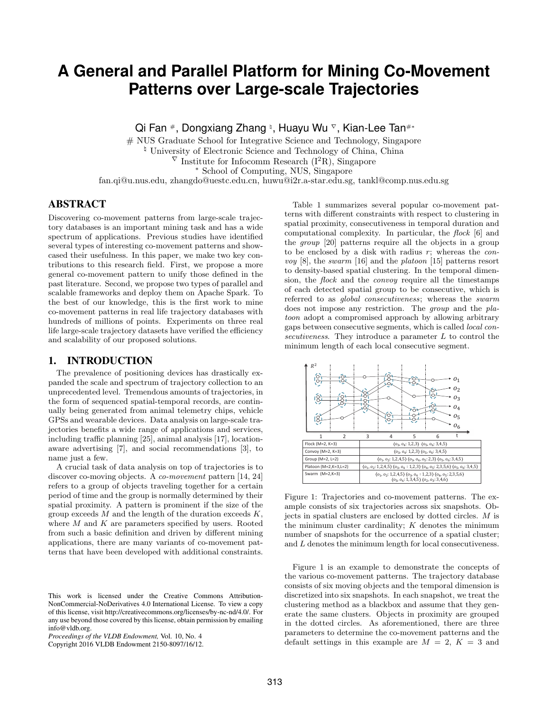# **A General and Parallel Platform for Mining Co-Movement Patterns over Large-scale Trajectories**

Qi Fan #, Dongxiang Zhang ʰ, Huayu Wu ▽, Kian-Lee Tan#\*

# NUS Graduate School for Integrative Science and Technology, Singapore  $\frac{1}{2}$  University of Electronic Science and Technology of China, China

 $\overline{V}$  Institute for Infocomm Research (I<sup>2</sup>R), Singapore

<sup>∗</sup> School of Computing, NUS, Singapore

fan.qi@u.nus.edu, zhangdo@uestc.edu.cn, huwu@i2r.a-star.edu.sg, tankl@comp.nus.edu.sg

# ABSTRACT

Discovering co-movement patterns from large-scale trajectory databases is an important mining task and has a wide spectrum of applications. Previous studies have identified several types of interesting co-movement patterns and showcased their usefulness. In this paper, we make two key contributions to this research field. First, we propose a more general co-movement pattern to unify those defined in the past literature. Second, we propose two types of parallel and scalable frameworks and deploy them on Apache Spark. To the best of our knowledge, this is the first work to mine co-movement patterns in real life trajectory databases with hundreds of millions of points. Experiments on three real life large-scale trajectory datasets have verified the efficiency and scalability of our proposed solutions.

# 1. INTRODUCTION

The prevalence of positioning devices has drastically expanded the scale and spectrum of trajectory collection to an unprecedented level. Tremendous amounts of trajectories, in the form of sequenced spatial-temporal records, are continually being generated from animal telemetry chips, vehicle GPSs and wearable devices. Data analysis on large-scale trajectories benefits a wide range of applications and services, including traffic planning [25], animal analysis [17], locationaware advertising [7], and social recommendations [3], to name just a few.

A crucial task of data analysis on top of trajectories is to discover co-moving objects. A co-movement pattern [14, 24] refers to a group of objects traveling together for a certain period of time and the group is normally determined by their spatial proximity. A pattern is prominent if the size of the group exceeds  $M$  and the length of the duration exceeds  $K$ , where  $M$  and  $K$  are parameters specified by users. Rooted from such a basic definition and driven by different mining applications, there are many variants of co-movement patterns that have been developed with additional constraints.

Copyright 2016 VLDB Endowment 2150-8097/16/12.

Table 1 summarizes several popular co-movement patterns with different constraints with respect to clustering in spatial proximity, consecutiveness in temporal duration and computational complexity. In particular, the flock [6] and the group [20] patterns require all the objects in a group to be enclosed by a disk with radius  $r$ ; whereas the *convoy* [8], the *swarm* [16] and the *platoon* [15] patterns resort to density-based spatial clustering. In the temporal dimension, the flock and the convoy require all the timestamps of each detected spatial group to be consecutive, which is referred to as global consecutiveness; whereas the swarm does not impose any restriction. The group and the platoon adopt a compromised approach by allowing arbitrary gaps between consecutive segments, which is called local consecutiveness. They introduce a parameter L to control the minimum length of each local consecutive segment.



Figure 1: Trajectories and co-movement patterns. The example consists of six trajectories across six snapshots. Objects in spatial clusters are enclosed by dotted circles. M is the minimum cluster cardinality;  $K$  denotes the minimum number of snapshots for the occurrence of a spatial cluster; and L denotes the minimum length for local consecutiveness.

Figure 1 is an example to demonstrate the concepts of the various co-movement patterns. The trajectory database consists of six moving objects and the temporal dimension is discretized into six snapshots. In each snapshot, we treat the clustering method as a blackbox and assume that they generate the same clusters. Objects in proximity are grouped in the dotted circles. As aforementioned, there are three parameters to determine the co-movement patterns and the default settings in this example are  $M = 2$ ,  $K = 3$  and

This work is licensed under the Creative Commons Attribution-NonCommercial-NoDerivatives 4.0 International License. To view a copy of this license, visit http://creativecommons.org/licenses/by-nc-nd/4.0/. For any use beyond those covered by this license, obtain permission by emailing info@vldb.org.

*Proceedings of the VLDB Endowment,* Vol. 10, No. 4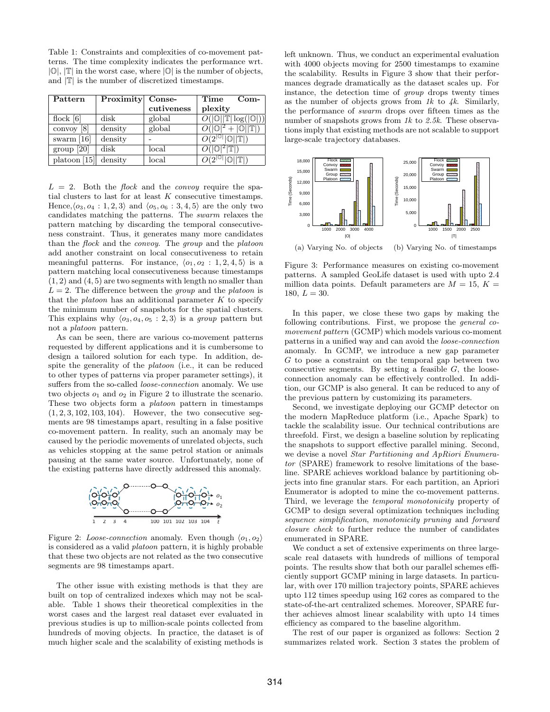Table 1: Constraints and complexities of co-movement patterns. The time complexity indicates the performance wrt.  $|\mathbb{O}|$ ,  $|\mathbb{T}|$  in the worst case, where  $|\mathbb{O}|$  is the number of objects, and  $|\mathbb{T}|$  is the number of discretized timestamps.

| Pattern                | Proximity Conse- |            | Time<br>$Com-$                                        |
|------------------------|------------------|------------|-------------------------------------------------------|
|                        |                  | cutiveness | plexity                                               |
| flock $[6]$            | disk             | global     | $O( \mathbb{O}  \mathbb{T} \log( \mathbb{O} ))$       |
| convoy $[8]$           | density          | global     | $\sqrt{p^2+ {\mathbb{O}}  {\mathbb{T}} }$             |
| swarm $[16]$           | density          |            | $O(2^{ {\mathbb{O}} }  {\mathbb{O}}   {\mathbb{T}} )$ |
| group [20]             | $_{\rm disk}$    | local      | $O( \mathbb{O} ^2 \mathbb{T} )$                       |
| platoon $[15]$ density |                  | local      | $\overline{O(2^{ 0 }  0  \mathbb{T} )}$               |

 $L = 2$ . Both the *flock* and the *convoy* require the spatial clusters to last for at least  $K$  consecutive timestamps. Hence,  $\langle o_3, o_4 : 1, 2, 3 \rangle$  and  $\langle o_5, o_6 : 3, 4, 5 \rangle$  are the only two candidates matching the patterns. The swarm relaxes the pattern matching by discarding the temporal consecutiveness constraint. Thus, it generates many more candidates than the flock and the convoy. The group and the platoon add another constraint on local consecutiveness to retain meaningful patterns. For instance,  $\langle o_1, o_2 : 1, 2, 4, 5 \rangle$  is a pattern matching local consecutiveness because timestamps  $(1, 2)$  and  $(4, 5)$  are two segments with length no smaller than  $L = 2$ . The difference between the *group* and the *platoon* is that the *platoon* has an additional parameter  $K$  to specify the minimum number of snapshots for the spatial clusters. This explains why  $\langle o_3, o_4, o_5 : 2, 3 \rangle$  is a group pattern but not a platoon pattern.

As can be seen, there are various co-movement patterns requested by different applications and it is cumbersome to design a tailored solution for each type. In addition, despite the generality of the platoon (i.e., it can be reduced to other types of patterns via proper parameter settings), it suffers from the so-called loose-connection anomaly. We use two objects  $o_1$  and  $o_2$  in Figure 2 to illustrate the scenario. These two objects form a platoon pattern in timestamps (1, 2, 3, 102, 103, 104). However, the two consecutive segments are 98 timestamps apart, resulting in a false positive reco-movement pattern. In reality, such an anomaly may be co-movement pattern. In reanty, such an anomaly may be caused by the periodic movements of unrelated objects, such as vehicles stopping at the same petrol station or animals pausing at the same water source. Unfortunately, none of the existing patterns have directly addressed this anomaly.



Figure 2: Loose-connection anomaly. Even though  $\langle o_1, o_2 \rangle$ is considered as a valid platoon pattern, it is highly probable that these two objects are not related as the two consecutive segments are 98 timestamps apart.

The other issue with existing methods is that they are built on top of centralized indexes which may not be scalable. Table 1 shows their theoretical complexities in the worst cases and the largest real dataset ever evaluated in previous studies is up to million-scale points collected from hundreds of moving objects. In practice, the dataset is of much higher scale and the scalability of existing methods is left unknown. Thus, we conduct an experimental evaluation with 4000 objects moving for 2500 timestamps to examine the scalability. Results in Figure 3 show that their performances degrade dramatically as the dataset scales up. For instance, the detection time of group drops twenty times as the number of objects grows from  $1k$  to  $4k$ . Similarly, the performance of swarm drops over fifteen times as the number of snapshots grows from  $1k$  to  $2.5k$ . These observations imply that existing methods are not scalable to support large-scale trajectory databases.



Figure 3: Performance measures on existing co-movement patterns. A sampled GeoLife dataset is used with upto 2.4 million data points. Default parameters are  $M = 15$ ,  $K =$ 180,  $L = 30$ .

In this paper, we close these two gaps by making the following contributions. First, we propose the general comovement pattern (GCMP) which models various co-moment patterns in a unified way and can avoid the loose-connection anomaly. In GCMP, we introduce a new gap parameter G to pose a constraint on the temporal gap between two consecutive segments. By setting a feasible  $G$ , the looseconnection anomaly can be effectively controlled. In addition, our GCMP is also general. It can be reduced to any of the previous pattern by customizing its parameters.

Second, we investigate deploying our GCMP detector on the modern MapReduce platform (i.e., Apache Spark) to tackle the scalability issue. Our technical contributions are threefold. First, we design a baseline solution by replicating the snapshots to support effective parallel mining. Second, we devise a novel Star Partitioning and ApRiori Enumerator (SPARE) framework to resolve limitations of the baseline. SPARE achieves workload balance by partitioning objects into fine granular stars. For each partition, an Apriori Enumerator is adopted to mine the co-movement patterns. Third, we leverage the temporal monotonicity property of GCMP to design several optimization techniques including sequence simplification, monotonicity pruning and forward closure check to further reduce the number of candidates enumerated in SPARE.

We conduct a set of extensive experiments on three largescale real datasets with hundreds of millions of temporal points. The results show that both our parallel schemes efficiently support GCMP mining in large datasets. In particular, with over 170 million trajectory points, SPARE achieves upto 112 times speedup using 162 cores as compared to the state-of-the-art centralized schemes. Moreover, SPARE further achieves almost linear scalability with upto 14 times efficiency as compared to the baseline algorithm.

The rest of our paper is organized as follows: Section 2 summarizes related work. Section 3 states the problem of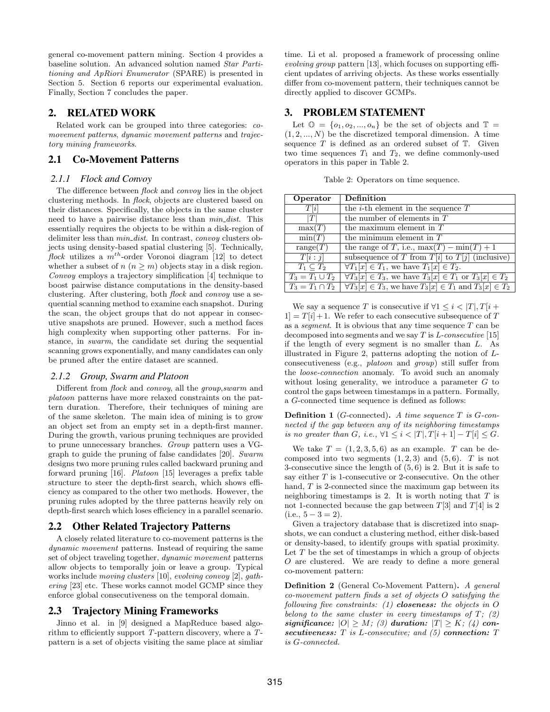general co-movement pattern mining. Section 4 provides a baseline solution. An advanced solution named Star Partitioning and ApRiori Enumerator (SPARE) is presented in Section 5. Section 6 reports our experimental evaluation. Finally, Section 7 concludes the paper.

# 2. RELATED WORK

Related work can be grouped into three categories: comovement patterns, dynamic movement patterns and trajectory mining frameworks.

# 2.1 Co-Movement Patterns

#### *2.1.1 Flock and Convoy*

The difference between flock and convoy lies in the object clustering methods. In flock, objects are clustered based on their distances. Specifically, the objects in the same cluster need to have a pairwise distance less than  $min\_dist$ . This essentially requires the objects to be within a disk-region of delimiter less than  $min\_dist$ . In contrast, convoy clusters objects using density-based spatial clustering [5]. Technically, flock utilizes a  $m^{th}$ -order Voronoi diagram [12] to detect whether a subset of  $n (n \geq m)$  objects stay in a disk region. Convoy employs a trajectory simplification [4] technique to boost pairwise distance computations in the density-based clustering. After clustering, both flock and convoy use a sequential scanning method to examine each snapshot. During the scan, the object groups that do not appear in consecutive snapshots are pruned. However, such a method faces high complexity when supporting other patterns. For instance, in swarm, the candidate set during the sequential scanning grows exponentially, and many candidates can only be pruned after the entire dataset are scanned.

#### *2.1.2 Group, Swarm and Platoon*

Different from flock and convoy, all the group,swarm and platoon patterns have more relaxed constraints on the pattern duration. Therefore, their techniques of mining are of the same skeleton. The main idea of mining is to grow an object set from an empty set in a depth-first manner. During the growth, various pruning techniques are provided to prune unnecessary branches. Group pattern uses a VGgraph to guide the pruning of false candidates [20]. Swarm designs two more pruning rules called backward pruning and forward pruning [16]. Platoon [15] leverages a prefix table structure to steer the depth-first search, which shows efficiency as compared to the other two methods. However, the pruning rules adopted by the three patterns heavily rely on depth-first search which loses efficiency in a parallel scenario.

# 2.2 Other Related Trajectory Patterns

A closely related literature to co-movement patterns is the dynamic movement patterns. Instead of requiring the same set of object traveling together, dynamic movement patterns allow objects to temporally join or leave a group. Typical works include moving clusters [10], evolving convoy [2], gathering [23] etc. These works cannot model GCMP since they enforce global consecutiveness on the temporal domain.

# 2.3 Trajectory Mining Frameworks

Jinno et al. in [9] designed a MapReduce based algorithm to efficiently support T-pattern discovery, where a Tpattern is a set of objects visiting the same place at simliar time. Li et al. proposed a framework of processing online evolving group pattern [13], which focuses on supporting efficient updates of arriving objects. As these works essentially differ from co-movement pattern, their techniques cannot be directly applied to discover GCMPs.

# 3. PROBLEM STATEMENT

Let  $\mathbb{O} = \{o_1, o_2, ..., o_n\}$  be the set of objects and  $\mathbb{T} =$  $(1, 2, \ldots, N)$  be the discretized temporal dimension. A time sequence  $T$  is defined as an ordered subset of  $T$ . Given two time sequences  $T_1$  and  $T_2$ , we define commonly-used operators in this paper in Table 2.

Table 2: Operators on time sequence.

| Operator             | Definition                                                               |
|----------------------|--------------------------------------------------------------------------|
| T[i]                 | the <i>i</i> -th element in the sequence $T$                             |
| T                    | the number of elements in $T$                                            |
| $\max(T)$            | the maximum element in $T$                                               |
| min(T)               | the minimum element in $T$                                               |
| range $(T)$          | the range of T, i.e., $\max(T) - \min(T) + 1$                            |
| T[i:j]               | subsequence of T from $T[i]$ to $T[j]$ (inclusive)                       |
| $T_1 \subset T_2$    | $\forall T_1[x] \in T_1$ , we have $T_1[x] \in T_2$ .                    |
| $T_3 = T_1 \cup T_2$ | $\forall T_3[x] \in T_3$ , we have $T_3[x] \in T_1$ or $T_3[x] \in T_2$  |
| $T_3 = T_1 \cap T_2$ | $\forall T_3[x] \in T_3$ , we have $T_3[x] \in T_1$ and $T_3[x] \in T_2$ |

We say a sequence T is consecutive if  $\forall 1 \leq i < |T|, T[i +]$  $1 = T[i] + 1$ . We refer to each consecutive subsequence of T as a *segment*. It is obvious that any time sequence  $T$  can be decomposed into segments and we say  $T$  is  $L$ -consecutive [15] if the length of every segment is no smaller than L. As illustrated in Figure 2, patterns adopting the notion of Lconsecutiveness (e.g., platoon and group) still suffer from the loose-connection anomaly. To avoid such an anomaly without losing generality, we introduce a parameter  $G$  to control the gaps between timestamps in a pattern. Formally, a G-connected time sequence is defined as follows:

**Definition 1** (G-connected). A time sequence  $T$  is  $G$ -connected if the gap between any of its neighboring timestamps is no greater than G, i.e.,  $\forall 1 \leq i < |T|, T[i+1] - T[i] \leq G$ .

We take  $T = (1, 2, 3, 5, 6)$  as an example. T can be decomposed into two segments  $(1, 2, 3)$  and  $(5, 6)$ . T is not 3-consecutive since the length of (5, 6) is 2. But it is safe to say either T is 1-consecutive or 2-consecutive. On the other hand,  $T$  is 2-connected since the maximum gap between its neighboring timestamps is 2. It is worth noting that  $T$  is not 1-connected because the gap between  $T[3]$  and  $T[4]$  is 2  $(i.e., 5 - 3 = 2).$ 

Given a trajectory database that is discretized into snapshots, we can conduct a clustering method, either disk-based or density-based, to identify groups with spatial proximity. Let  $T$  be the set of timestamps in which a group of objects O are clustered. We are ready to define a more general co-movement pattern:

Definition 2 (General Co-Movement Pattern). A general co-movement pattern finds a set of objects O satisfying the following five constraints: (1) **closeness:** the objects in  $O$ belong to the same cluster in every timestamps of  $T$ ; (2) significance:  $|O| \ge M$ ; (3) duration:  $|T| \ge K$ ; (4) consecutiveness:  $T$  is L-consecutive; and (5) connection:  $T$ is G-connected.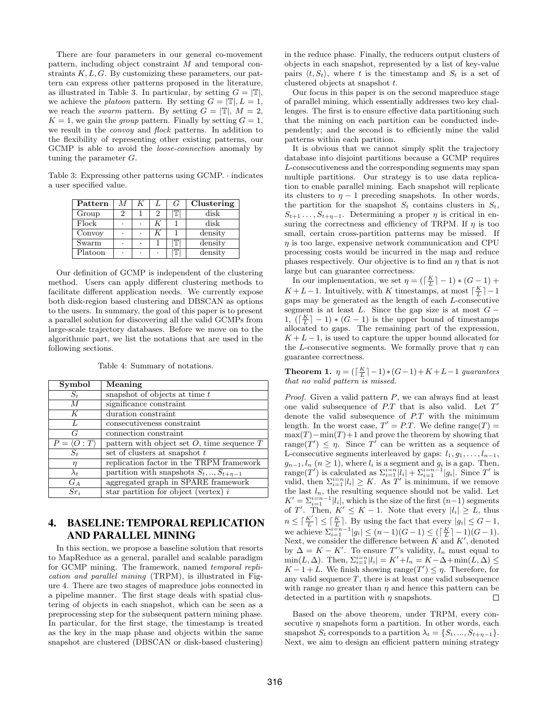There are four parameters in our general co-movement pattern, including object constraint M and temporal constraints  $K, L, G$ . By customizing these parameters, our pattern can express other patterns proposed in the literature, as illustrated in Table 3. In particular, by setting  $G = |\mathbb{T}|$ , we achieve the *platoon* pattern. By setting  $G = |\mathbb{T}|, L = 1$ , we reach the *swarm* pattern. By setting  $G = |\mathbb{T}|$ ,  $M = 2$ ,  $K = 1$ , we gain the *group* pattern. Finally by setting  $G = 1$ , we result in the convoy and flock patterns. In addition to the flexibility of representing other existing patterns, our GCMP is able to avoid the loose-connection anomaly by tuning the parameter G.

Table 3: Expressing other patterns using GCMP. · indicates a user specified value.

| Pattern | М | K |   | G | Clustering |
|---------|---|---|---|---|------------|
| Group   | 2 |   | 2 | Ͳ | disk       |
| Flock   | ٠ |   | K |   | disk       |
| Convoy  | ٠ |   | K |   | density    |
| Swarm   | ٠ | ٠ |   | π | density    |
| Platoon | ٠ | ٠ | ٠ | π | density    |
|         |   |   |   |   |            |

Our definition of GCMP is independent of the clustering method. Users can apply different clustering methods to facilitate different application needs. We currently expose both disk-region based clustering and DBSCAN as options to the users. In summary, the goal of this paper is to present a parallel solution for discovering all the valid GCMPs from large-scale trajectory databases. Before we move on to the algorithmic part, we list the notations that are used in the following sections.

| Symbol                      | $\overline{\text{Meaning}}$                     |
|-----------------------------|-------------------------------------------------|
| $S_t$                       | snapshot of objects at time $t$                 |
| $\overline{M}$              | significance constraint                         |
| K                           | duration constraint                             |
|                             | consecutiveness constraint                      |
| G                           | connection constraint                           |
| $P = \langle O : T \rangle$ | pattern with object set $O$ , time sequence $T$ |
| $S_t$                       | set of clusters at snapshot t                   |
| $\eta$                      | replication factor in the TRPM framework        |
| $\lambda_t$                 | partition with snapshots $S_t, , S_{t+\eta-1}$  |
| $G_A$                       | aggregated graph in SPARE framework             |
| $Sr_i$                      | star partition for object (vertex) $i$          |

Table 4: Summary of notations.

# 4. BASELINE: TEMPORAL REPLICATION AND PARALLEL MINING

In this section, we propose a baseline solution that resorts to MapReduce as a general, parallel and scalable paradigm for GCMP mining. The framework, named temporal replication and parallel mining (TRPM), is illustrated in Figure 4. There are two stages of mapreduce jobs connected in a pipeline manner. The first stage deals with spatial clustering of objects in each snapshot, which can be seen as a preprocessing step for the subsequent pattern mining phase. In particular, for the first stage, the timestamp is treated as the key in the map phase and objects within the same snapshot are clustered (DBSCAN or disk-based clustering) in the reduce phase. Finally, the reducers output clusters of objects in each snapshot, represented by a list of key-value pairs  $\langle t, S_t \rangle$ , where t is the timestamp and  $S_t$  is a set of clustered objects at snapshot t.

Our focus in this paper is on the second mapreduce stage of parallel mining, which essentially addresses two key challenges. The first is to ensure effective data partitioning such that the mining on each partition can be conducted independently; and the second is to efficiently mine the valid patterns within each partition.

It is obvious that we cannot simply split the trajectory database into disjoint partitions because a GCMP requires L-consecutiveness and the corresponding segments may span multiple partitions. Our strategy is to use data replication to enable parallel mining. Each snapshot will replicate its clusters to  $\eta - 1$  preceding snapshots. In other words, the partition for the snapshot  $S_t$  contains clusters in  $S_t$ ,  $S_{t+1} \ldots, S_{t+n-1}$ . Determining a proper  $\eta$  is critical in ensuring the correctness and efficiency of TRPM. If  $\eta$  is too small, certain cross-partition patterns may be missed. If  $\eta$  is too large, expensive network communication and CPU processing costs would be incurred in the map and reduce phases respectively. Our objective is to find an  $\eta$  that is not large but can guarantee correctness.

In our implementation, we set  $\eta = (\lceil \frac{K}{L} \rceil - 1) * (G - 1) +$  $K + L - 1$ . Intuitively, with K timestamps, at most  $\lceil \frac{K}{L} \rceil - 1$ gaps may be generated as the length of each L-consecutive segment is at least L. Since the gap size is at most  $G -$ 1,  $\left(\left\lceil \frac{K}{L} \right\rceil - 1\right) * (G - 1)$  is the upper bound of timestamps allocated to gaps. The remaining part of the expression,  $K + L - 1$ , is used to capture the upper bound allocated for the L-consecutive segments. We formally prove that  $\eta$  can guarantee correctness.

**Theorem 1.**  $\eta = (\lceil \frac{K}{L} \rceil - 1) * (G - 1) + K + L - 1$  guarantees that no valid pattern is missed.

*Proof.* Given a valid pattern  $P$ , we can always find at least one valid subsequence of  $P$ . T that is also valid. Let  $T'$ denote the valid subsequence of P.T with the minimum length. In the worst case,  $T' = P.T$ . We define range $(T) =$  $max(T)-min(T)+1$  and prove the theorem by showing that range(T')  $\leq \eta$ . Since T' can be written as a sequence of L-consecutive segments interleaved by gaps:  $l_1, g_1, \ldots, l_{n-1}$ ,  $g_{n-1}, l_n$   $(n \geq 1)$ , where  $l_i$  is a segment and  $g_i$  is a gap. Then, range(T') is calculated as  $\sum_{i=1}^{i=n} |l_i| + \sum_{i=1}^{i=n-1} |g_i|$ . Since T' is valid, then  $\sum_{i=1}^{i=n} |l_i| \geq K$ . As T' is minimum, if we remove the last  $l_n$ , the resulting sequence should not be valid. Let  $K' = \sum_{i=1}^{i=n-1} |l_i|$ , which is the size of the first  $(n-1)$  segments of T'. Then,  $K' \leq K - 1$ . Note that every  $|l_i| \geq L$ , thus  $n \leq \lceil \frac{K'}{L} \rceil \leq \lceil \frac{K}{L} \rceil$ . By using the fact that every  $|g_i| \leq G - 1$ , we achieve  $\sum_{i=1}^{i=n-1} |g_i| \le (n-1)(G-1) \le (\lceil \frac{K}{L} \rceil - 1)(G-1).$ Next, we consider the difference between  $K$  and  $K'$ , denoted by  $\Delta = K - K'$ . To ensure T''s validity,  $l_n$  must equal to  $\min(L, \Delta)$ . Then,  $\Sigma_{i=1}^{i=n} |l_i| = K' + l_n = K - \Delta + \min(L, \Delta) \le$  $K-1+L$ . We finish showing range $(T') \leq \eta$ . Therefore, for any valid sequence  $T$ , there is at least one valid subsequence with range no greater than  $\eta$  and hence this pattern can be detected in a partition with  $\eta$  snapshots.

Based on the above theorem, under TRPM, every consecutive  $\eta$  snapshots form a partition. In other words, each snapshot  $S_t$  corresponds to a partition  $\lambda_t = \{S_t, ..., S_{t+\eta-1}\}.$ Next, we aim to design an efficient pattern mining strategy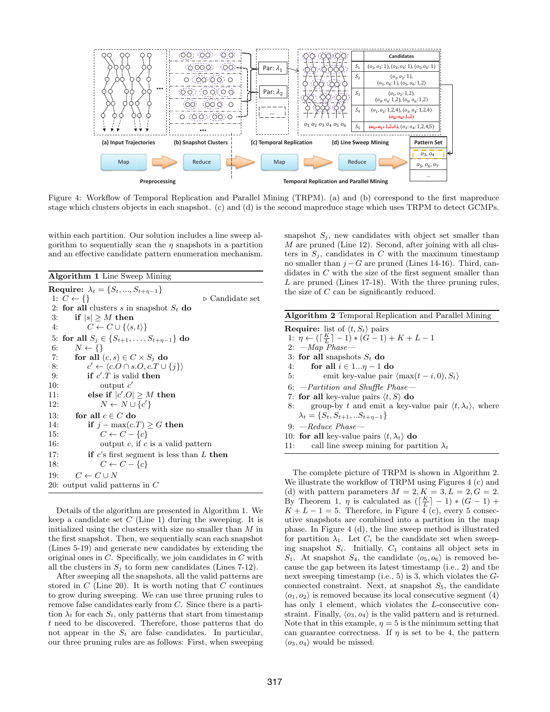

Figure 4: Workflow of Temporal Replication and Parallel Mining (TRPM). (a) and (b) correspond to the first mapreduce stage which clusters objects in each snapshot. (c) and (d) is the second mapreduce stage which uses TRPM to detect GCMPs.

within each partition. Our solution includes a line sweep algorithm to sequentially scan the  $\eta$  snapshots in a partition and an effective candidate pattern enumeration mechanism.

Algorithm 1 Line Sweep Mining

|     | <b>Require:</b> $\lambda_t = \{S_t, , S_{t+n-1}\}\$          |
|-----|--------------------------------------------------------------|
|     | 1: $C \leftarrow \{\}$<br>$\triangleright$ Candidate set     |
|     | 2: for all clusters s in snapshot $S_t$ do                   |
| 3:  | if $ s  \geq M$ then                                         |
| 4:  | $C \leftarrow C \cup \{\langle s,t \rangle\}$                |
|     | 5: for all $S_i \in \{S_{t+1}, \ldots, S_{t+\eta-1}\}\$ do   |
| 6:  | $N \leftarrow \{\}$                                          |
| 7:  | for all $(c, s) \in C \times S_i$ do                         |
| 8:  | $c' \leftarrow \langle c.O \cap s.O, c.T \cup \{j\} \rangle$ |
| 9:  | if $c'.T$ is valid then                                      |
| 10: | output $c'$                                                  |
| 11: | else if $ c'.O  \geq M$ then                                 |
| 12: | $N \leftarrow N \cup \{c'\}$                                 |
| 13: | for all $c \in C$ do                                         |
| 14: | if $j - max(c.T) \geq G$ then                                |
| 15: | $C \leftarrow C - \{c\}$                                     |
| 16: | output $c$ , if $c$ is a valid pattern                       |
| 17: | if c's first segment is less than $L$ then                   |
| 18: | $C \leftarrow C - \{c\}$                                     |
| 19: | $C \leftarrow C \cup N$                                      |
|     | 20: output valid patterns in $C$                             |
|     |                                                              |

Details of the algorithm are presented in Algorithm 1. We keep a candidate set  $C$  (Line 1) during the sweeping. It is initialized using the clusters with size no smaller than M in the first snapshot. Then, we sequentially scan each snapshot (Lines 5-19) and generate new candidates by extending the original ones in C. Specifically, we join candidates in C with all the clusters in  $S_i$  to form new candidates (Lines 7-12).

After sweeping all the snapshots, all the valid patterns are stored in  $C$  (Line 20). It is worth noting that  $C$  continues to grow during sweeping. We can use three pruning rules to remove false candidates early from C. Since there is a partition  $\lambda_t$  for each  $S_t$ , only patterns that start from timestamp t need to be discovered. Therefore, those patterns that do not appear in the  $S_t$  are false candidates. In particular, our three pruning rules are as follows: First, when sweeping snapshot  $S_j$ , new candidates with object set smaller than M are pruned (Line 12). Second, after joining with all clusters in  $S_i$ , candidates in C with the maximum timestamp no smaller than  $j - G$  are pruned (Lines 14-16). Third, candidates in C with the size of the first segment smaller than  $L$  are pruned (Lines 17-18). With the three pruning rules, the size of C can be significantly reduced.

| <b>Algorithm 2</b> Temporal Replication and Parallel Mining                       |
|-----------------------------------------------------------------------------------|
| <b>Require:</b> list of $\langle t, S_t \rangle$ pairs                            |
| 1: $\eta \leftarrow (\lceil \frac{K}{L} \rceil - 1) * (G - 1) + K + L - 1$        |
| $2:$ $-Map$ $Phase -$                                                             |
| 3: for all snapshots $S_t$ do                                                     |
| 4: for all $i \in 1 \eta - 1$ do                                                  |
| emit key-value pair $\langle \max(t-i,0), S_t \rangle$<br>5:                      |
| $6:$ --Partition and Shuffle Phase-                                               |
| 7: for all key-value pairs $\langle t, S \rangle$ do                              |
| group-by t and emit a key-value pair $\langle t, \lambda_t \rangle$ , where<br>8: |
| $\lambda_t = \{S_t, S_{t+1}, \ldots S_{t+n-1}\}\$                                 |
| $9:$ -Reduce Phase-                                                               |
| 10: for all key-value pairs $\langle t, \lambda_t \rangle$ do                     |

11: call line sweep mining for partition  $\lambda_t$ 

The complete picture of TRPM is shown in Algorithm 2. We illustrate the workflow of TRPM using Figures 4 (c) and (d) with pattern parameters  $M = 2, K = 3, L = 2, G = 2$ . By Theorem 1,  $\eta$  is calculated as  $(\lceil \frac{K}{L} \rceil - 1) * (G - 1) +$  $K + L - 1 = 5$ . Therefore, in Figure  $\overline{4}$  (c), every 5 consecutive snapshots are combined into a partition in the map phase. In Figure 4 (d), the line sweep method is illustrated for partition  $\lambda_1$ . Let  $C_i$  be the candidate set when sweeping snapshot  $S_i$ . Initially,  $C_1$  contains all object sets in  $S_1$ . At snapshot  $S_4$ , the candidate  $\langle o_5, o_6 \rangle$  is removed because the gap between its latest timestamp (i.e., 2) and the next sweeping timestamp (i.e., 5) is 3, which violates the Gconnected constraint. Next, at snapshot  $S_5$ , the candidate  $\langle o_1, o_2 \rangle$  is removed because its local consecutive segment (4) has only 1 element, which violates the *L*-consecutive constraint. Finally,  $\langle o_3, o_4 \rangle$  is the valid pattern and is returned. Note that in this example,  $\eta = 5$  is the minimum setting that can guarantee correctness. If  $\eta$  is set to be 4, the pattern  $\langle o_3, o_4 \rangle$  would be missed.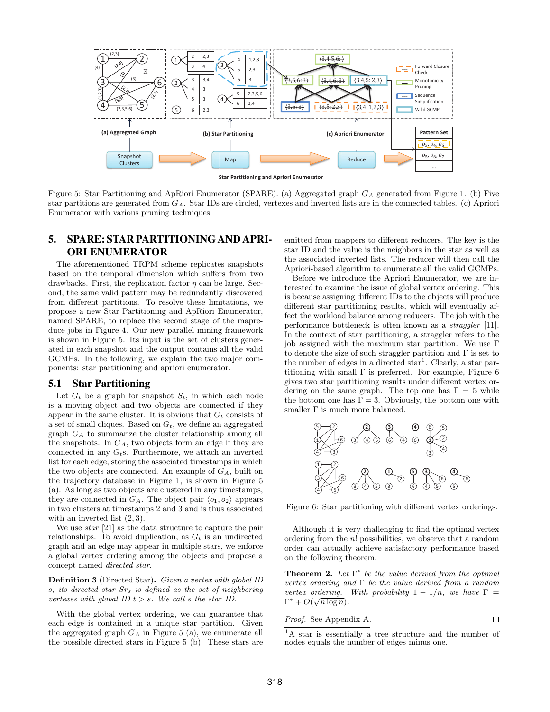

Figure 5: Star Partitioning and ApRiori Enumerator (SPARE). (a) Aggregated graph  $G_A$  generated from Figure 1. (b) Five star partitions are generated from GA. Star IDs are circled, vertexes and inverted lists are in the connected tables. (c) Apriori Enumerator with various pruning techniques.

# 5. SPARE: STAR PARTITIONING AND APRI-ORI ENUMERATOR

The aforementioned TRPM scheme replicates snapshots based on the temporal dimension which suffers from two drawbacks. First, the replication factor  $\eta$  can be large. Second, the same valid pattern may be redundantly discovered from different partitions. To resolve these limitations, we propose a new Star Partitioning and ApRiori Enumerator, named SPARE, to replace the second stage of the mapreduce jobs in Figure 4. Our new parallel mining framework is shown in Figure 5. Its input is the set of clusters generated in each snapshot and the output contains all the valid GCMPs. In the following, we explain the two major components: star partitioning and apriori enumerator.

# 5.1 Star Partitioning

Let  $G_t$  be a graph for snapshot  $S_t$ , in which each node is a moving object and two objects are connected if they appear in the same cluster. It is obvious that  $G_t$  consists of a set of small cliques. Based on  $G_t$ , we define an aggregated graph  $G_A$  to summarize the cluster relationship among all the snapshots. In  $G_A$ , two objects form an edge if they are connected in any  $G_t$ s. Furthermore, we attach an inverted list for each edge, storing the associated timestamps in which the two objects are connected. An example of  $G_A$ , built on the trajectory database in Figure 1, is shown in Figure 5 (a). As long as two objects are clustered in any timestamps, they are connected in  $G_A$ . The object pair  $\langle o_1, o_2 \rangle$  appears in two clusters at timestamps 2 and 3 and is thus associated with an inverted list  $(2, 3)$ .

We use star [21] as the data structure to capture the pair relationships. To avoid duplication, as  $G_t$  is an undirected graph and an edge may appear in multiple stars, we enforce a global vertex ordering among the objects and propose a concept named directed star.

Definition 3 (Directed Star). Given a vertex with global ID s, its directed star  $Sr_s$  is defined as the set of neighboring vertexes with global ID  $t > s$ . We call s the star ID.

With the global vertex ordering, we can guarantee that each edge is contained in a unique star partition. Given the aggregated graph  $G_A$  in Figure 5 (a), we enumerate all the possible directed stars in Figure 5 (b). These stars are emitted from mappers to different reducers. The key is the star ID and the value is the neighbors in the star as well as the associated inverted lists. The reducer will then call the Apriori-based algorithm to enumerate all the valid GCMPs.

Before we introduce the Apriori Enumerator, we are interested to examine the issue of global vertex ordering. This is because assigning different IDs to the objects will produce different star partitioning results, which will eventually affect the workload balance among reducers. The job with the performance bottleneck is often known as a straggler [11]. In the context of star partitioning, a straggler refers to the job assigned with the maximum star partition. We use Γ to denote the size of such straggler partition and  $\Gamma$  is set to the number of edges in a directed  $star<sup>1</sup>$ . Clearly, a star partitioning with small  $\Gamma$  is preferred. For example, Figure 6 gives two star partitioning results under different vertex ordering on the same graph. The top one has  $\Gamma = 5$  while the bottom one has  $\Gamma = 3$ . Obviously, the bottom one with smaller  $\Gamma$  is much more balanced.



Figure 6: Star partitioning with different vertex orderings.

Although it is very challenging to find the optimal vertex ordering from the n! possibilities, we observe that a random order can actually achieve satisfactory performance based on the following theorem.

**Theorem 2.** Let  $\Gamma^*$  be the value derived from the optimal vertex ordering and  $\Gamma$  be the value derived from a random vertex ordering. With probability  $1 - 1/n$ , we have  $\Gamma =$  $\Gamma^* + O(\sqrt{n \log n}).$ 

*Proof.* See Appendix A. 
$$
\Box
$$

<sup>1</sup>A star is essentially a tree structure and the number of nodes equals the number of edges minus one.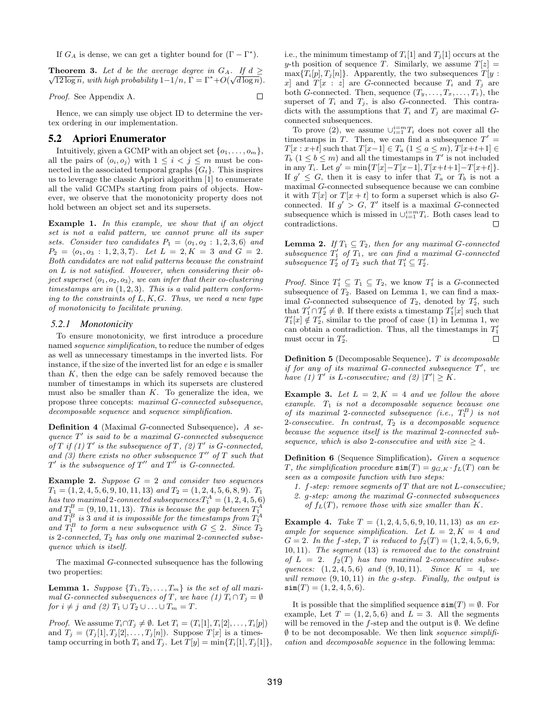If  $G_A$  is dense, we can get a tighter bound for  $(\Gamma - \Gamma^*)$ .

**Theorem 3.** Let d be the average degree in  $G_A$ . If  $d \geq$  $\overline{12 \log n}$ , with high probability  $1-1/n$ ,  $\Gamma = \Gamma^* + O(\sqrt{d \log n})$ .

□

Proof. See Appendix A.

Hence, we can simply use object ID to determine the vertex ordering in our implementation.

# 5.2 Apriori Enumerator

Intuitively, given a GCMP with an object set  $\{o_1, \ldots, o_m\}$ , all the pairs of  $\langle o_i, o_j \rangle$  with  $1 \leq i < j \leq m$  must be connected in the associated temporal graphs  $\{G_t\}$ . This inspires us to leverage the classic Apriori algorithm [1] to enumerate all the valid GCMPs starting from pairs of objects. However, we observe that the monotonicity property does not hold between an object set and its supersets.

Example 1. In this example, we show that if an object set is not a valid pattern, we cannot prune all its super sets. Consider two candidates  $P_1 = \langle o_1, o_2 : 1, 2, 3, 6 \rangle$  and  $P_2 = \langle o_1, o_3 : 1, 2, 3, 7 \rangle$ . Let  $L = 2, K = 3$  and  $G = 2$ . Both candidates are not valid patterns because the constraint on L is not satisfied. However, when considering their object superset  $\langle o_1, o_2, o_3 \rangle$ , we can infer that their co-clustering timestamps are in  $(1, 2, 3)$ . This is a valid pattern conforming to the constraints of  $L, K, G$ . Thus, we need a new type of monotonicity to facilitate pruning.

#### *5.2.1 Monotonicity*

To ensure monotonicity, we first introduce a procedure named sequence simplification, to reduce the number of edges as well as unnecessary timestamps in the inverted lists. For instance, if the size of the inverted list for an edge  $e$  is smaller than  $K$ , then the edge can be safely removed because the number of timestamps in which its supersets are clustered must also be smaller than  $K$ . To generalize the idea, we propose three concepts: maximal G-connected subsequence, decomposable sequence and sequence simplification.

**Definition 4** (Maximal G-connected Subsequence). A sequence  $T'$  is said to be a maximal G-connected subsequence of T if (1)  $T'$  is the subsequence of T, (2)  $T'$  is G-connected, and (3) there exists no other subsequence  $T''$  of T such that  $T'$  is the subsequence of  $T''$  and  $T''$  is G-connected.

**Example 2.** Suppose  $G = 2$  and consider two sequences  $T_1 = (1, 2, 4, 5, 6, 9, 10, 11, 13)$  and  $T_2 = (1, 2, 4, 5, 6, 8, 9)$ .  $T_1$ has two maximal 2-connected subsequences:  $T_1^A=(1,2,4,5,6)$ and  $T_1^B = (9, 10, 11, 13)$ . This is because the gap between  $T_1^A$ and  $T_1^B$  is 3 and it is impossible for the timestamps from  $T_1^A$ and  $T_1^B$  to form a new subsequence with  $G \leq 2$ . Since  $T_2$ is 2-connected,  $T_2$  has only one maximal 2-connected subsequence which is itself.

The maximal G-connected subsequence has the following two properties:

**Lemma 1.** Suppose  $\{T_1, T_2, \ldots, T_m\}$  is the set of all maximal G-connected subsequences of T, we have (1)  $T_i \cap T_j = \emptyset$ for  $i \neq j$  and  $(2)$   $T_1 \cup T_2 \cup \ldots \cup T_m = T$ .

*Proof.* We assume  $T_i \cap T_j \neq \emptyset$ . Let  $T_i = (T_i[1], T_i[2], \ldots, T_i[p])$ and  $T_j = (T_j[1], T_j[2], \ldots, T_j[n])$ . Suppose  $T[x]$  is a timestamp occurring in both  $T_i$  and  $T_j$ . Let  $T[y] = \min\{T_i[1], T_j[1]\},\$  i.e., the minimum timestamp of  $T_i[1]$  and  $T_j[1]$  occurs at the y-th position of sequence T. Similarly, we assume  $T[z] =$  $\max\{T_i[p], T_j[n]\}.$  Apparently, the two subsequences  $T[y]$ : x and  $T[x : z]$  are G-connected because  $T_i$  and  $T_j$  are both *G*-connected. Then, sequence  $(T_y, \ldots, T_x, \ldots, T_z)$ , the superset of  $T_i$  and  $T_j$ , is also G-connected. This contradicts with the assumptions that  $T_i$  and  $T_j$  are maximal  $G$ connected subsequences.

To prove (2), we assume  $\bigcup_{i=1}^{i=m} T_i$  does not cover all the timestamps in T. Then, we can find a subsequence  $T' =$  $T[x : x+t]$  such that  $T[x-1] \in T_a$   $(1 \le a \le m)$ ,  $T[x+t+1] \in$  $T_b$   $(1 \leq b \leq m)$  and all the timestamps in  $T'$  is not included in any  $T_i$ . Let  $g' = \min\{T[x]-T[x-1], T[x+t+1]-T[x+t]\}.$ If  $g' \leq G$ , then it is easy to infer that  $T_a$  or  $T_b$  is not a maximal G-connected subsequence because we can combine it with  $T[x]$  or  $T[x + t]$  to form a superset which is also Gconnected. If  $g' > G$ , T' itself is a maximal G-connected subsequence which is missed in  $\bigcup_{i=1}^{i=m} T_i$ . Both cases lead to contradictions.  $\Box$ 

**Lemma 2.** If  $T_1 \subseteq T_2$ , then for any maximal G-connected subsequence  $T_1'$  of  $T_1$ , we can find a maximal G-connected subsequence  $T_2'$  of  $T_2$  such that  $T_1' \subseteq T_2'$ .

*Proof.* Since  $T_1' \subseteq T_1 \subseteq T_2$ , we know  $T_1'$  is a G-connected subsequence of  $T_2$ . Based on Lemma 1, we can find a maximal  $\tilde{G}$ -connected subsequence of  $T_2$ , denoted by  $T_2'$ , such that  $T_1' \cap T_2' \neq \emptyset$ . If there exists a timestamp  $T_1'[x]$  such that  $T_1'[x] \notin T_2'$ , similar to the proof of case (1) in Lemma 1, we can obtain a contradiction. Thus, all the timestamps in  $T_1'$ must occur in  $T_2'$ .  $\Box$ 

Definition 5 (Decomposable Sequence). T is decomposable if for any of its maximal G-connected subsequence  $T'$ , we have (1) T' is L-consecutive; and (2)  $|T'| \geq K$ .

**Example 3.** Let  $L = 2, K = 4$  and we follow the above example.  $T_1$  is not a decomposable sequence because one of its maximal 2-connected subsequence (i.e.,  $T_1^B$ ) is not 2-consecutive. In contrast,  $T_2$  is a decomposable sequence because the sequence itself is the maximal 2-connected subsequence, which is also 2-consecutive and with size  $\geq 4$ .

Definition 6 (Sequence Simplification). Given a sequence T, the simplification procedure  $\text{sim}(T) = g_{G,K} \cdot f_L(T)$  can be seen as a composite function with two steps:

- 1. f-step: remove segments of  $T$  that are not L-consecutive; 2. g-step: among the maximal G-connected subsequences
- of  $f_L(T)$ , remove those with size smaller than K.

Example 4. Take  $T = (1, 2, 4, 5, 6, 9, 10, 11, 13)$  as an example for sequence simplification. Let  $L = 2, K = 4$  and  $G = 2$ . In the f-step, T is reduced to  $f_2(T) = (1, 2, 4, 5, 6, 9, 6)$ 10, 11). The segment (13) is removed due to the constraint of  $L = 2$ .  $f_2(T)$  has two maximal 2-consecutive subsequences:  $(1, 2, 4, 5, 6)$  and  $(9, 10, 11)$ . Since  $K = 4$ , we will remove  $(9, 10, 11)$  in the g-step. Finally, the output is  $\texttt{sim}(T) = (1, 2, 4, 5, 6).$ 

It is possible that the simplified sequence  $\sin(T) = \emptyset$ . For example, Let  $T = (1, 2, 5, 6)$  and  $L = 3$ . All the segments will be removed in the f-step and the output is  $\emptyset$ . We define  $\emptyset$  to be not decomposable. We then link sequence simplification and decomposable sequence in the following lemma: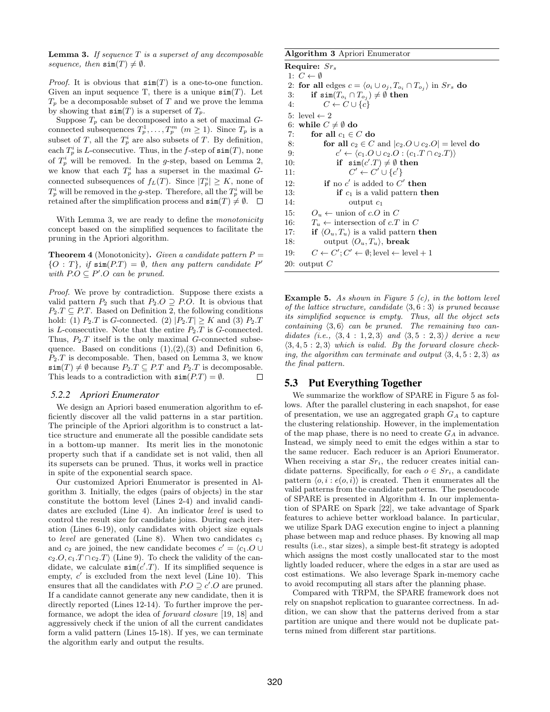**Lemma 3.** If sequence  $T$  is a superset of any decomposable sequence, then  $\text{sim}(T) \neq \emptyset$ .

*Proof.* It is obvious that  $\sin(T)$  is a one-to-one function. Given an input sequence T, there is a unique  $\sin(T)$ . Let  $T_p$  be a decomposable subset of T and we prove the lemma by showing that  $\text{sim}(T)$  is a superset of  $T_p$ .

Suppose  $T_p$  can be decomposed into a set of maximal  $G$ connected subsequences  $T_p^1, \ldots, T_p^m$   $(m \ge 1)$ . Since  $T_p$  is a subset of T, all the  $T_p^i$  are also subsets of T. By definition, each  $T_p^i$  is L-consecutive. Thus, in the f-step of  $\text{sim}(T)$ , none of  $T_p^i$  will be removed. In the g-step, based on Lemma 2, we know that each  $T_p^i$  has a superset in the maximal Gconnected subsequences of  $f_L(T)$ . Since  $|T_p^i| \geq K$ , none of  $T_p^i$  will be removed in the g-step. Therefore, all the  $T_p^i$  will be retained after the simplification process and  $\text{sim}(T) \neq \emptyset$ .  $\Box$ 

With Lemma 3, we are ready to define the *monotonicity* concept based on the simplified sequences to facilitate the pruning in the Apriori algorithm.

**Theorem 4** (Monotonicity). Given a candidate pattern  $P =$  ${O : T}, if \text{sim}(P.T) = \emptyset, then any pattern candidate P'$ with  $P.O \subseteq P'O$  can be pruned.

Proof. We prove by contradiction. Suppose there exists a valid pattern  $P_2$  such that  $P_2.O \supseteq PO$ . It is obvious that  $P_2.T \subseteq P.T$ . Based on Definition 2, the following conditions hold: (1)  $P_2.T$  is G-connected. (2)  $|P_2.T| \geq K$  and (3)  $P_2.T$ is L-consecutive. Note that the entire  $P_2.T$  is G-connected. Thus,  $P_2.T$  itself is the only maximal G-connected subsequence. Based on conditions  $(1),(2),(3)$  and Definition 6,  $P_2.T$  is decomposable. Then, based on Lemma 3, we know  $\sin(T) \neq \emptyset$  because  $P_2.T \subseteq P.T$  and  $P_2.T$  is decomposable. This leads to a contradiction with  $\sin(P.T) = \emptyset$ .  $\Box$ 

#### *5.2.2 Apriori Enumerator*

We design an Apriori based enumeration algorithm to efficiently discover all the valid patterns in a star partition. The principle of the Apriori algorithm is to construct a lattice structure and enumerate all the possible candidate sets in a bottom-up manner. Its merit lies in the monotonic property such that if a candidate set is not valid, then all its supersets can be pruned. Thus, it works well in practice in spite of the exponential search space.

Our customized Apriori Enumerator is presented in Algorithm 3. Initially, the edges (pairs of objects) in the star constitute the bottom level (Lines 2-4) and invalid candidates are excluded (Line 4). An indicator level is used to control the result size for candidate joins. During each iteration (Lines 6-19), only candidates with object size equals to level are generated (Line 8). When two candidates  $c_1$ and  $c_2$  are joined, the new candidate becomes  $c' = \langle c_1. \overline{O} \cup \overline{O} \rangle$  $c_2.O, c_1.T \cap c_2.T$  (Line 9). To check the validity of the candidate, we calculate  $\sin(c'.T)$ . If its simplified sequence is empty,  $c'$  is excluded from the next level (Line 10). This ensures that all the candidates with  $P.O \supseteq c'.O$  are pruned. If a candidate cannot generate any new candidate, then it is directly reported (Lines 12-14). To further improve the performance, we adopt the idea of forward closure [19, 18] and aggressively check if the union of all the current candidates form a valid pattern (Lines 15-18). If yes, we can terminate the algorithm early and output the results.

#### Algorithm 3 Apriori Enumerator

Require:  $Sr<sub>s</sub>$ 1:  $C \leftarrow \emptyset$ 2: for all edges  $c = \langle o_i \cup o_j , T_{o_i} \cap T_{o_j} \rangle$  in  $Sr_s$  do  $3\colon \quad \quad \textbf{if $\mathop{\textbf{sim}}\nolimits(T_{o_i} \cap T_{o_j})\neq \emptyset$ then}$ 4:  $C \leftarrow C \cup \{\tilde{c}\}\$ 5: level  $\leftarrow$  2 6: while  $C \neq \emptyset$  do 7: for all  $c_1 \in C$  do 8: **for all**  $c_2 \in C$  and  $|c_2.O \cup c_2.O|$  = level **do**  $9:$  $c' \leftarrow \langle c_1.O \cup c_2.O : (c_1.T \cap c_2.T) \rangle$ 10: if  $\sin(c'.T) \neq \emptyset$  then  $11:$  $v' \leftarrow C' \cup \{c'\}$ 12: **if** no  $c'$  is added to  $C'$  then 13: **if**  $c_1$  is a valid pattern **then** 14: **output**  $c_1$ output  $c_1$ 15:  $O_u \leftarrow$  union of c.O in C 16:  $T_u \leftarrow$  intersection of c.T in C 17: if  $\langle O_u, T_u \rangle$  is a valid pattern then 18: output  $\langle O_u, T_u \rangle$ , break 19:  $C \leftarrow C'; C' \leftarrow \emptyset; \text{level} \leftarrow \text{level} + 1$ 20: output C

**Example 5.** As shown in Figure 5  $(c)$ , in the bottom level of the lattice structure, candidate  $\langle 3, 6 : 3 \rangle$  is pruned because its simplified sequence is empty. Thus, all the object sets containing  $\langle 3, 6 \rangle$  can be pruned. The remaining two candidates (i.e.,  $\langle 3, 4 : 1, 2, 3 \rangle$  and  $\langle 3, 5 : 2, 3 \rangle$ ) derive a new  $\langle 3, 4, 5 : 2, 3 \rangle$  which is valid. By the forward closure checking, the algorithm can terminate and output  $\langle 3, 4, 5 : 2, 3 \rangle$  as the final pattern.

# 5.3 Put Everything Together

We summarize the workflow of SPARE in Figure 5 as follows. After the parallel clustering in each snapshot, for ease of presentation, we use an aggregated graph  $G_A$  to capture the clustering relationship. However, in the implementation of the map phase, there is no need to create  $G_A$  in advance. Instead, we simply need to emit the edges within a star to the same reducer. Each reducer is an Apriori Enumerator. When receiving a star  $Sr_i$ , the reducer creates initial candidate patterns. Specifically, for each  $o \in Sr_i$ , a candidate pattern  $\langle o, i : e(o, i) \rangle$  is created. Then it enumerates all the valid patterns from the candidate patterns. The pseudocode of SPARE is presented in Algorithm 4. In our implementation of SPARE on Spark [22], we take advantage of Spark features to achieve better workload balance. In particular, we utilize Spark DAG execution engine to inject a planning phase between map and reduce phases. By knowing all map results (i.e., star sizes), a simple best-fit strategy is adopted which assigns the most costly unallocated star to the most lightly loaded reducer, where the edges in a star are used as cost estimations. We also leverage Spark in-memory cache to avoid recomputing all stars after the planning phase.

Compared with TRPM, the SPARE framework does not rely on snapshot replication to guarantee correctness. In addition, we can show that the patterns derived from a star partition are unique and there would not be duplicate patterns mined from different star partitions.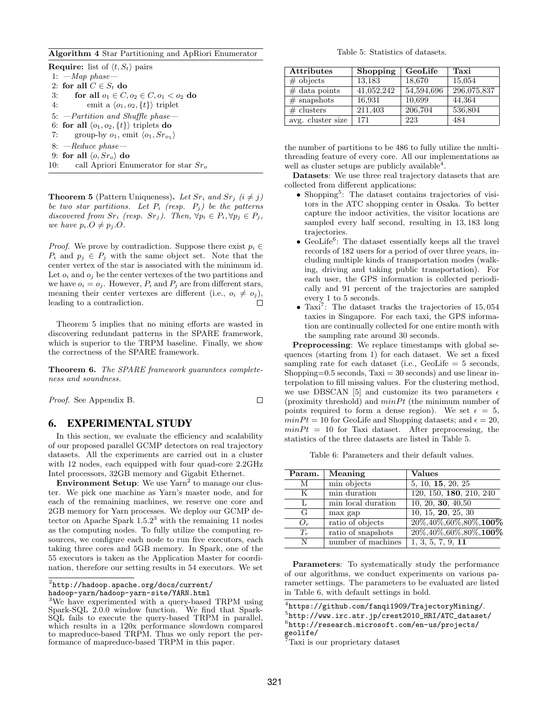Algorithm 4 Star Partitioning and ApRiori Enumerator

**Require:** list of  $\langle t, S_t \rangle$  pairs 1:  $-Map$  phase-2: for all  $C \in S_t$  do 3: for all  $o_1 \in C, o_2 \in C, o_1 < o_2$  do 4: emit a  $\langle o_1, o_2, \{t\} \rangle$  triplet 5: —Partition and Shuffle phase— 6: for all  $\langle o_1, o_2, \{t\} \rangle$  triplets do 7: group-by  $o_1$ , emit  $\langle o_1, Sr_{o_1} \rangle$ 8: —Reduce phase— 9: for all  $\langle o, Sr_o \rangle$  do 10: call Apriori Enumerator for star  $Sr<sub>o</sub>$ 

**Theorem 5** (Pattern Uniqueness). Let  $Sr_i$  and  $Sr_j$  ( $i \neq j$ ) be two star partitions. Let  $P_i$  (resp.  $P_j$ ) be the patterns discovered from  $Sr_i$  (resp.  $Sr_j$ ). Then,  $\forall p_i \in P_i$ ,  $\forall p_j \in P_j$ , we have  $p_i.O \neq p_j.O$ .

*Proof.* We prove by contradiction. Suppose there exist  $p_i \in$  $P_i$  and  $p_j \in P_j$  with the same object set. Note that the center vertex of the star is associated with the minimum id. Let  $o_i$  and  $o_j$  be the center vertexes of the two partitions and we have  $o_i = o_j$ . However,  $P_i$  and  $P_j$  are from different stars, meaning their center vertexes are different (i.e.,  $o_i \neq o_j$ ), leading to a contradiction.  $\Box$ 

Theorem 5 implies that no mining efforts are wasted in discovering redundant patterns in the SPARE framework, which is superior to the TRPM baseline. Finally, we show the correctness of the SPARE framework.

Theorem 6. The SPARE framework guarantees completeness and soundness.

Proof. See Appendix B.

# 6. EXPERIMENTAL STUDY

In this section, we evaluate the efficiency and scalability of our proposed parallel GCMP detectors on real trajectory datasets. All the experiments are carried out in a cluster with 12 nodes, each equipped with four quad-core 2.2GHz Intel processors, 32GB memory and Gigabit Ethernet.

**Environment Setup**: We use  $\text{Yarn}^2$  to manage our cluster. We pick one machine as Yarn's master node, and for each of the remaining machines, we reserve one core and 2GB memory for Yarn processes. We deploy our GCMP detector on Apache Spark  $1.5.2<sup>3</sup>$  with the remaining 11 nodes as the computing nodes. To fully utilize the computing resources, we configure each node to run five executors, each taking three cores and 5GB memory. In Spark, one of the 55 executors is taken as the Application Master for coordination, therefore our setting results in 54 executors. We set

 $^2$ http://hadoop.apache.org/docs/current/

hadoop-yarn/hadoop-yarn-site/YARN.html

Table 5: Statistics of datasets.

| <b>Attributes</b> | <b>Shopping</b> | GeoLife    | Taxi        |
|-------------------|-----------------|------------|-------------|
| $\#$ objects      | 13,183          | 18,670     | 15,054      |
| $\#$ data points  | 41,052,242      | 54,594,696 | 296,075,837 |
| $#$ snapshots     | 16,931          | 10,699     | 44,364      |
| # clusters        | 211,403         | 206,704    | 536,804     |
| avg. cluster size | 171             | 223        | 484         |

the number of partitions to be 486 to fully utilize the multithreading feature of every core. All our implementations as well as cluster setups are publicly available<sup>4</sup>.

Datasets: We use three real trajectory datasets that are collected from different applications:

- Shopping<sup>5</sup>: The dataset contains trajectories of visitors in the ATC shopping center in Osaka. To better capture the indoor activities, the visitor locations are sampled every half second, resulting in 13, 183 long trajectories.
- $\bullet$  GeoLife<sup>6</sup>: The dataset essentially keeps all the travel records of 182 users for a period of over three years, including multiple kinds of transportation modes (walking, driving and taking public transportation). For each user, the GPS information is collected periodically and 91 percent of the trajectories are sampled every 1 to 5 seconds.
- $\bullet$  Taxi<sup>7</sup>: The dataset tracks the trajectories of 15,054 taxies in Singapore. For each taxi, the GPS information are continually collected for one entire month with the sampling rate around 30 seconds.

Preprocessing: We replace timestamps with global sequences (starting from 1) for each dataset. We set a fixed sampling rate for each dataset (i.e., GeoLife  $= 5$  seconds, Shopping=0.5 seconds,  $Taxi = 30$  seconds) and use linear interpolation to fill missing values. For the clustering method, we use DBSCAN [5] and customize its two parameters  $\epsilon$ (proximity threshold) and  $minPt$  (the minimum number of points required to form a dense region). We set  $\epsilon = 5$ ,  $minPt = 10$  for GeoLife and Shopping datasets; and  $\epsilon = 20$ ,  $minPt = 10$  for Taxi dataset. After preprocessing, the statistics of the three datasets are listed in Table 5.

Table 6: Parameters and their default values.

| Param. | Meaning            | <b>Values</b>                   |
|--------|--------------------|---------------------------------|
| M      | min objects        | 5, 10, 15, 20, 25               |
| K      | min duration       | 120, 150, 180, 210, 240         |
| L      | min local duration | 10, 20, 30, 40, 50              |
| G      | max gap            | 10, 15, 20, 25, 30              |
| $O_r$  | ratio of objects   | $20\%, 40\%, 60\%, 80\%, 100\%$ |
| $T_r$  | ratio of snapshots | $20\%, 40\%, 60\%, 80\%, 100\%$ |
| N      | number of machines | 1, 3, 5, 7, 9, 11               |

Parameters: To systematically study the performance of our algorithms, we conduct experiments on various parameter settings. The parameters to be evaluated are listed in Table 6, with default settings in bold.

 $^4$ https://github.com/fanqi1909/TrajectoryMining/. 5 http://www.irc.atr.jp/crest2010\_HRI/ATC\_dataset/ 6 http://research.microsoft.com/en-us/projects/ geolife/

<sup>7</sup>Taxi is our proprietary dataset

 $\Box$ 

<sup>3</sup>We have experimented with a query-based TRPM using Spark-SQL 2.0.0 window function. We find that Spark-SQL fails to execute the query-based TRPM in parallel, which results in a 120x performance slowdown compared to mapreduce-based TRPM. Thus we only report the performance of mapreduce-based TRPM in this paper.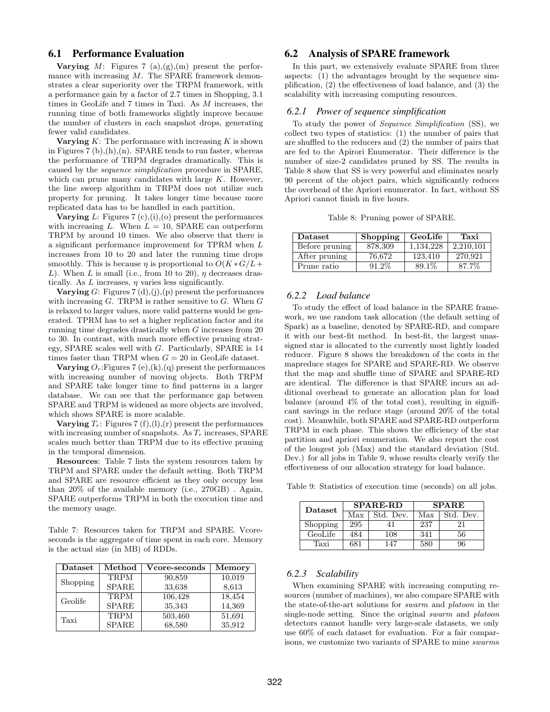# 6.1 Performance Evaluation

**Varying** M: Figures 7 (a), $(g)$ , $(m)$  present the performance with increasing M. The SPARE framework demonstrates a clear superiority over the TRPM framework, with a performance gain by a factor of 2.7 times in Shopping, 3.1 times in GeoLife and 7 times in Taxi. As M increases, the running time of both frameworks slightly improve because the number of clusters in each snapshot drops, generating fewer valid candidates.

Varying  $K$ : The performance with increasing  $K$  is shown in Figures 7 (b),(h),(n). SPARE tends to run faster, whereas the performance of TRPM degrades dramatically. This is caused by the sequence simplification procedure in SPARE, which can prune many candidates with large  $K$ . However, the line sweep algorithm in TRPM does not utilize such property for pruning. It takes longer time because more replicated data has to be handled in each partition.

Varying  $L$ : Figures 7 (c),(i),(o) present the performances with increasing L. When  $L = 10$ , SPARE can outperform TRPM by around 10 times. We also observe that there is a significant performance improvement for TPRM when L increases from 10 to 20 and later the running time drops smoothly. This is because  $\eta$  is proportional to  $O(K * G/L +$ L). When L is small (i.e., from 10 to 20),  $\eta$  decreases drastically. As  $L$  increases,  $\eta$  varies less significantly.

**Varying** G: Figures  $7(d), (j), (p)$  present the performances with increasing  $G$ . TRPM is rather sensitive to  $G$ . When  $G$ is relaxed to larger values, more valid patterns would be generated. TPRM has to set a higher replication factor and its running time degrades drastically when G increases from 20 to 30. In contrast, with much more effective pruning strategy, SPARE scales well with G. Particularly, SPARE is 14 times faster than TRPM when  $G = 20$  in GeoLife dataset.

**Varying**  $O_r$ : Figures 7 (e), (k), (q) present the performances with increasing number of moving objects. Both TRPM and SPARE take longer time to find patterns in a larger database. We can see that the performance gap between SPARE and TRPM is widened as more objects are involved, which shows SPARE is more scalable.

Varying  $T_r$ : Figures 7 (f),(1),(r) present the performances with increasing number of snapshots. As  $T_r$  increases, SPARE scales much better than TRPM due to its effective pruning in the temporal dimension.

Resources: Table 7 lists the system resources taken by TRPM and SPARE under the default setting. Both TRPM and SPARE are resource efficient as they only occupy less than 20% of the available memory (i.e., 270GB) . Again, SPARE outperforms TRPM in both the execution time and the memory usage.

Table 7: Resources taken for TRPM and SPARE. Vcoreseconds is the aggregate of time spent in each core. Memory is the actual size (in MB) of RDDs.

| $\mathbf{D}\text{at }$ | $\operatorname{Method}$ | Vcore-seconds | Memory |
|------------------------|-------------------------|---------------|--------|
| <b>Shopping</b>        | <b>TRPM</b>             | 90,859        | 10,019 |
|                        | <b>SPARE</b>            | 33,638        | 8,613  |
| Geolife                | <b>TRPM</b>             | 106,428       | 18,454 |
|                        | <b>SPARE</b>            | 35,343        | 14,369 |
| Taxi                   | TRPM                    | 503,460       | 51,691 |
|                        | <b>SPARE</b>            | 68,580        | 35,912 |

# 6.2 Analysis of SPARE framework

In this part, we extensively evaluate SPARE from three aspects: (1) the advantages brought by the sequence simplification, (2) the effectiveness of load balance, and (3) the scalability with increasing computing resources.

# *6.2.1 Power of sequence simplification*

To study the power of Sequence Simplification (SS), we collect two types of statistics: (1) the number of pairs that are shuffled to the reducers and (2) the number of pairs that are fed to the Apirori Enumerator. Their difference is the number of size-2 candidates pruned by SS. The results in Table 8 show that SS is very powerful and eliminates nearly 90 percent of the object pairs, which significantly reduces the overhead of the Apriori enumerator. In fact, without SS Apriori cannot finish in five hours.

Table 8: Pruning power of SPARE.

| <b>Dataset</b> | Shopping | GeoLife   | Taxi      |
|----------------|----------|-----------|-----------|
| Before pruning | 878,309  | 1.134.228 | 2.210.101 |
| After pruning  | 76.672   | 123.410   | 270.921   |
| Prune ratio    | $91.2\%$ | 89.1\%    | 87.7%     |

# *6.2.2 Load balance*

To study the effect of load balance in the SPARE framework, we use random task allocation (the default setting of Spark) as a baseline, denoted by SPARE-RD, and compare it with our best-fit method. In best-fit, the largest unassigned star is allocated to the currently most lightly loaded reducer. Figure 8 shows the breakdown of the costs in the mapreduce stages for SPARE and SPARE-RD. We observe that the map and shuffle time of SPARE and SPARE-RD are identical. The difference is that SPARE incurs an additional overhead to generate an allocation plan for load balance (around 4% of the total cost), resulting in significant savings in the reduce stage (around 20% of the total cost). Meanwhile, both SPARE and SPARE-RD outperform TRPM in each phase. This shows the efficiency of the star partition and apriori enumeration. We also report the cost of the longest job (Max) and the standard deviation (Std. Dev.) for all jobs in Table 9, whose results clearly verify the effectiveness of our allocation strategy for load balance.

Table 9: Statistics of execution time (seconds) on all jobs.

| Dataset  |     | <b>SPARE-RD</b> | <b>SPARE</b> |           |
|----------|-----|-----------------|--------------|-----------|
|          | Max | Std. Dev.       | Max          | Std. Dev. |
| Shopping | 295 |                 | 237          | 21        |
| GeoLife  | 484 | 108             | 341          | 56        |
| 'Taxi    | 681 | 147             | 580          | 96        |

#### *6.2.3 Scalability*

When examining SPARE with increasing computing resources (number of machines), we also compare SPARE with the state-of-the-art solutions for swarm and platoon in the single-node setting. Since the original swarm and platoon detectors cannot handle very large-scale datasets, we only use 60% of each dataset for evaluation. For a fair comparisons, we customize two variants of SPARE to mine swarms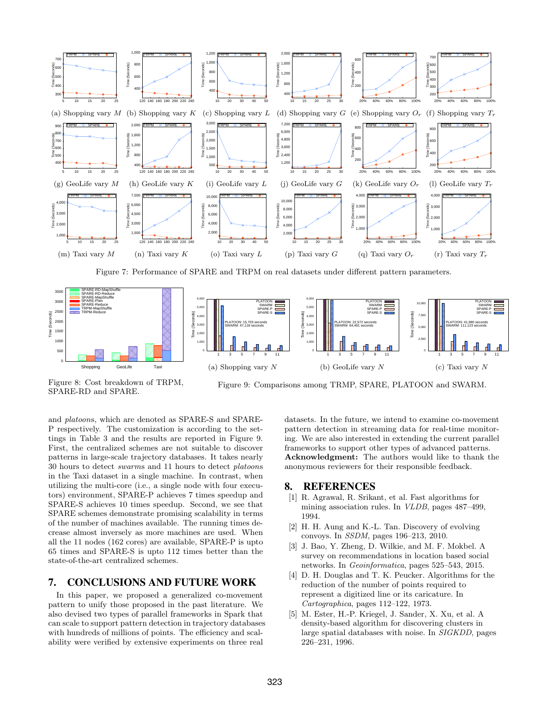

Figure 7: Performance of SPARE and TRPM on real datasets under different pattern parameters.



Figure 8: Cost breakdown of TRPM, SPARE-RD and SPARE.

Figure 9: Comparisons among TRMP, SPARE, PLATOON and SWARM.

and platoons, which are denoted as SPARE-S and SPARE-P respectively. The customization is according to the settings in Table 3 and the results are reported in Figure 9. First, the centralized schemes are not suitable to discover patterns in large-scale trajectory databases. It takes nearly 30 hours to detect swarms and 11 hours to detect platoons in the Taxi dataset in a single machine. In contrast, when utilizing the multi-core (i.e., a single node with four executors) environment, SPARE-P achieves 7 times speedup and SPARE-S achieves 10 times speedup. Second, we see that SPARE schemes demonstrate promising scalability in terms of the number of machines available. The running times decrease almost inversely as more machines are used. When all the 11 nodes (162 cores) are available, SPARE-P is upto 65 times and SPARE-S is upto 112 times better than the state-of-the-art centralized schemes.

# 7. CONCLUSIONS AND FUTURE WORK

In this paper, we proposed a generalized co-movement pattern to unify those proposed in the past literature. We also devised two types of parallel frameworks in Spark that can scale to support pattern detection in trajectory databases with hundreds of millions of points. The efficiency and scalability were verified by extensive experiments on three real

datasets. In the future, we intend to examine co-movement pattern detection in streaming data for real-time monitoring. We are also interested in extending the current parallel frameworks to support other types of advanced patterns. Acknowledgment: The authors would like to thank the anonymous reviewers for their responsible feedback.

# 8. REFERENCES

- [1] R. Agrawal, R. Srikant, et al. Fast algorithms for mining association rules. In VLDB, pages 487–499, 1994.
- [2] H. H. Aung and K.-L. Tan. Discovery of evolving convoys. In SSDM, pages 196–213, 2010.
- [3] J. Bao, Y. Zheng, D. Wilkie, and M. F. Mokbel. A survey on recommendations in location based social networks. In Geoinformatica, pages 525–543, 2015.
- [4] D. H. Douglas and T. K. Peucker. Algorithms for the reduction of the number of points required to represent a digitized line or its caricature. In Cartographica, pages 112–122, 1973.
- [5] M. Ester, H.-P. Kriegel, J. Sander, X. Xu, et al. A density-based algorithm for discovering clusters in large spatial databases with noise. In SIGKDD, pages 226–231, 1996.